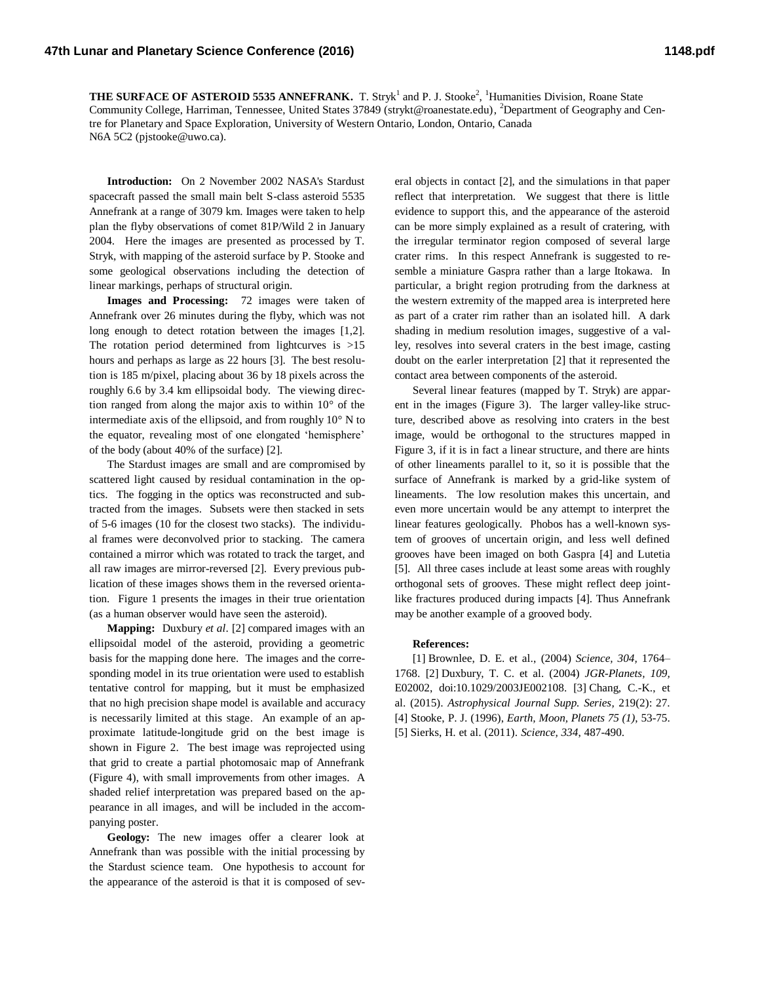**THE SURFACE OF ASTEROID 5535 ANNEFRANK.** T. Stryk<sup>1</sup> and P. J. Stooke<sup>2</sup>, <sup>1</sup>Humanities Division, Roane State Community College, Harriman, Tennessee, United States 37849 (strykt@roanestate.edu), <sup>2</sup>Department of Geography and Centre for Planetary and Space Exploration, University of Western Ontario, London, Ontario, Canada N6A 5C2 (pjstooke@uwo.ca).

**Introduction:** On 2 November 2002 NASA's Stardust spacecraft passed the small main belt S-class asteroid 5535 Annefrank at a range of 3079 km. Images were taken to help plan the flyby observations of comet 81P/Wild 2 in January 2004. Here the images are presented as processed by T. Stryk, with mapping of the asteroid surface by P. Stooke and some geological observations including the detection of linear markings, perhaps of structural origin.

**Images and Processing:** 72 images were taken of Annefrank over 26 minutes during the flyby, which was not long enough to detect rotation between the images [1,2]. The rotation period determined from lightcurves is >15 hours and perhaps as large as 22 hours [3]. The best resolution is 185 m/pixel, placing about 36 by 18 pixels across the roughly 6.6 by 3.4 km ellipsoidal body. The viewing direction ranged from along the major axis to within 10° of the intermediate axis of the ellipsoid, and from roughly 10° N to the equator, revealing most of one elongated 'hemisphere' of the body (about 40% of the surface) [2].

The Stardust images are small and are compromised by scattered light caused by residual contamination in the optics. The fogging in the optics was reconstructed and subtracted from the images. Subsets were then stacked in sets of 5-6 images (10 for the closest two stacks). The individual frames were deconvolved prior to stacking. The camera contained a mirror which was rotated to track the target, and all raw images are mirror-reversed [2]. Every previous publication of these images shows them in the reversed orientation. Figure 1 presents the images in their true orientation (as a human observer would have seen the asteroid).

**Mapping:** Duxbury *et al*. [2] compared images with an ellipsoidal model of the asteroid, providing a geometric basis for the mapping done here. The images and the corresponding model in its true orientation were used to establish tentative control for mapping, but it must be emphasized that no high precision shape model is available and accuracy is necessarily limited at this stage. An example of an approximate latitude-longitude grid on the best image is shown in Figure 2. The best image was reprojected using that grid to create a partial photomosaic map of Annefrank (Figure 4), with small improvements from other images. A shaded relief interpretation was prepared based on the appearance in all images, and will be included in the accompanying poster.

**Geology:** The new images offer a clearer look at Annefrank than was possible with the initial processing by the Stardust science team. One hypothesis to account for the appearance of the asteroid is that it is composed of several objects in contact [2], and the simulations in that paper reflect that interpretation. We suggest that there is little evidence to support this, and the appearance of the asteroid can be more simply explained as a result of cratering, with the irregular terminator region composed of several large crater rims. In this respect Annefrank is suggested to resemble a miniature Gaspra rather than a large Itokawa. In particular, a bright region protruding from the darkness at the western extremity of the mapped area is interpreted here as part of a crater rim rather than an isolated hill. A dark shading in medium resolution images, suggestive of a valley, resolves into several craters in the best image, casting doubt on the earler interpretation [2] that it represented the contact area between components of the asteroid.

Several linear features (mapped by T. Stryk) are apparent in the images (Figure 3). The larger valley-like structure, described above as resolving into craters in the best image, would be orthogonal to the structures mapped in Figure 3, if it is in fact a linear structure, and there are hints of other lineaments parallel to it, so it is possible that the surface of Annefrank is marked by a grid-like system of lineaments. The low resolution makes this uncertain, and even more uncertain would be any attempt to interpret the linear features geologically. Phobos has a well-known system of grooves of uncertain origin, and less well defined grooves have been imaged on both Gaspra [4] and Lutetia [5]. All three cases include at least some areas with roughly orthogonal sets of grooves. These might reflect deep jointlike fractures produced during impacts [4]. Thus Annefrank may be another example of a grooved body.

## **References:**

[1] Brownlee, D. E. et al., (2004) *Science, 304,* 1764– 1768. [2] Duxbury, T. C. et al. (2004) *JGR-Planets, 109,* E02002, doi:10.1029/2003JE002108. [3] Chang, C.-K., et al. (2015). *Astrophysical Journal Supp. Series,* 219(2): 27. [4] Stooke, P. J. (1996), *Earth, Moon, Planets 75 (1)*, 53-75. [5] Sierks, H. et al. (2011). *Science, 334*, 487-490.